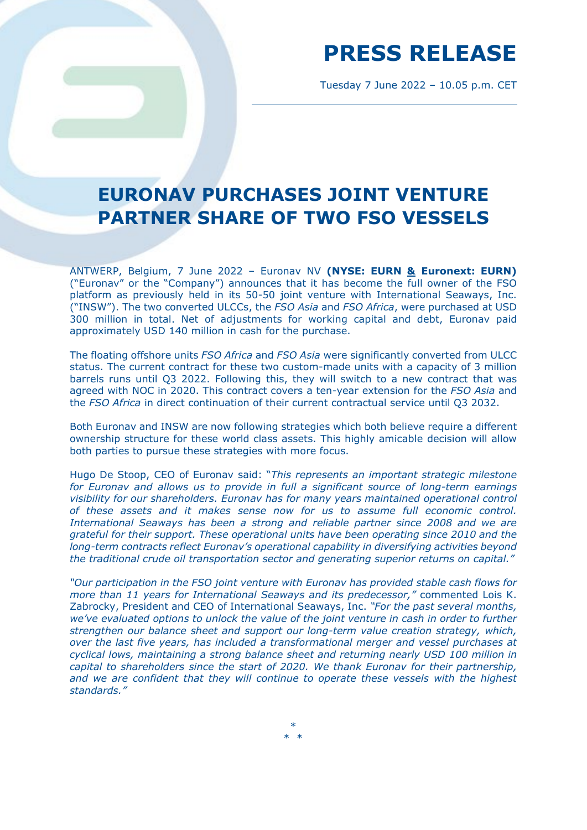## **PRESS RELEASE**

Tuesday 7 June 2022 – 10.05 p.m. CET

### **EURONAV PURCHASES JOINT VENTURE PARTNER SHARE OF TWO FSO VESSELS**

ANTWERP, Belgium, 7 June 2022 – Euronav NV **(NYSE: EURN & Euronext: EURN)**  ("Euronav" or the "Company") announces that it has become the full owner of the FSO platform as previously held in its 50-50 joint venture with International Seaways, Inc. ("INSW"). The two converted ULCCs, the *FSO Asia* and *FSO Africa*, were purchased at USD 300 million in total. Net of adjustments for working capital and debt, Euronav paid approximately USD 140 million in cash for the purchase.

The floating offshore units *FSO Africa* and *FSO Asia* were significantly converted from ULCC status. The current contract for these two custom-made units with a capacity of 3 million barrels runs until Q3 2022. Following this, they will switch to a new contract that was agreed with NOC in 2020. This contract covers a ten-year extension for the *FSO Asia* and the *FSO Africa* in direct continuation of their current contractual service until Q3 2032.

Both Euronav and INSW are now following strategies which both believe require a different ownership structure for these world class assets. This highly amicable decision will allow both parties to pursue these strategies with more focus.

Hugo De Stoop, CEO of Euronav said: "*This represents an important strategic milestone for Euronav and allows us to provide in full a significant source of long-term earnings visibility for our shareholders. Euronav has for many years maintained operational control of these assets and it makes sense now for us to assume full economic control. International Seaways has been a strong and reliable partner since 2008 and we are grateful for their support. These operational units have been operating since 2010 and the long-term contracts reflect Euronav's operational capability in diversifying activities beyond the traditional crude oil transportation sector and generating superior returns on capital."*

*"Our participation in the FSO joint venture with Euronav has provided stable cash flows for more than 11 years for International Seaways and its predecessor,"* commented Lois K. Zabrocky, President and CEO of International Seaways, Inc. *"For the past several months, we've evaluated options to unlock the value of the joint venture in cash in order to further strengthen our balance sheet and support our long-term value creation strategy, which, over the last five years, has included a transformational merger and vessel purchases at cyclical lows, maintaining a strong balance sheet and returning nearly USD 100 million in capital to shareholders since the start of 2020. We thank Euronav for their partnership, and we are confident that they will continue to operate these vessels with the highest standards."*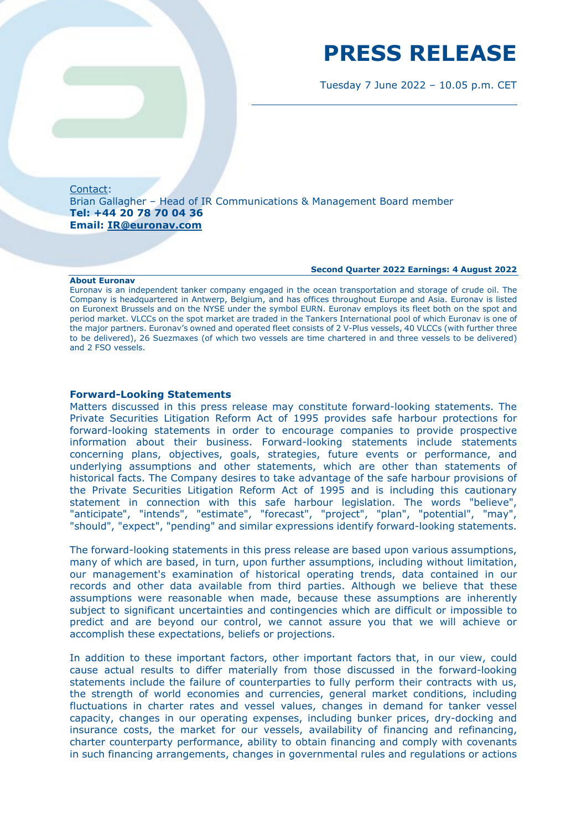## **PRESS RELEASE**

Tuesday 7 June 2022 – 10.05 p.m. CET

Contact: Brian Gallagher – Head of IR Communications & Management Board member **Tel: +44 20 78 70 04 36 Email: [IR@euronav.com](mailto:IR@euronav.com)**

#### **Second Quarter 2022 Earnings: 4 August 2022**

**About Euronav**

Euronav is an independent tanker company engaged in the ocean transportation and storage of crude oil. The Company is headquartered in Antwerp, Belgium, and has offices throughout Europe and Asia. Euronav is listed on Euronext Brussels and on the NYSE under the symbol EURN. Euronav employs its fleet both on the spot and period market. VLCCs on the spot market are traded in the Tankers International pool of which Euronav is one of the major partners. Euronav's owned and operated fleet consists of 2 V-Plus vessels, 40 VLCCs (with further three to be delivered), 26 Suezmaxes (of which two vessels are time chartered in and three vessels to be delivered) and 2 FSO vessels.

### **Forward-Looking Statements**

Matters discussed in this press release may constitute forward-looking statements. The Private Securities Litigation Reform Act of 1995 provides safe harbour protections for forward-looking statements in order to encourage companies to provide prospective information about their business. Forward-looking statements include statements concerning plans, objectives, goals, strategies, future events or performance, and underlying assumptions and other statements, which are other than statements of historical facts. The Company desires to take advantage of the safe harbour provisions of the Private Securities Litigation Reform Act of 1995 and is including this cautionary statement in connection with this safe harbour legislation. The words "believe", "anticipate", "intends", "estimate", "forecast", "project", "plan", "potential", "may", "should", "expect", "pending" and similar expressions identify forward-looking statements.

The forward-looking statements in this press release are based upon various assumptions, many of which are based, in turn, upon further assumptions, including without limitation, our management's examination of historical operating trends, data contained in our records and other data available from third parties. Although we believe that these assumptions were reasonable when made, because these assumptions are inherently subject to significant uncertainties and contingencies which are difficult or impossible to predict and are beyond our control, we cannot assure you that we will achieve or accomplish these expectations, beliefs or projections.

In addition to these important factors, other important factors that, in our view, could cause actual results to differ materially from those discussed in the forward-looking statements include the failure of counterparties to fully perform their contracts with us, the strength of world economies and currencies, general market conditions, including fluctuations in charter rates and vessel values, changes in demand for tanker vessel capacity, changes in our operating expenses, including bunker prices, dry-docking and insurance costs, the market for our vessels, availability of financing and refinancing, charter counterparty performance, ability to obtain financing and comply with covenants in such financing arrangements, changes in governmental rules and regulations or actions